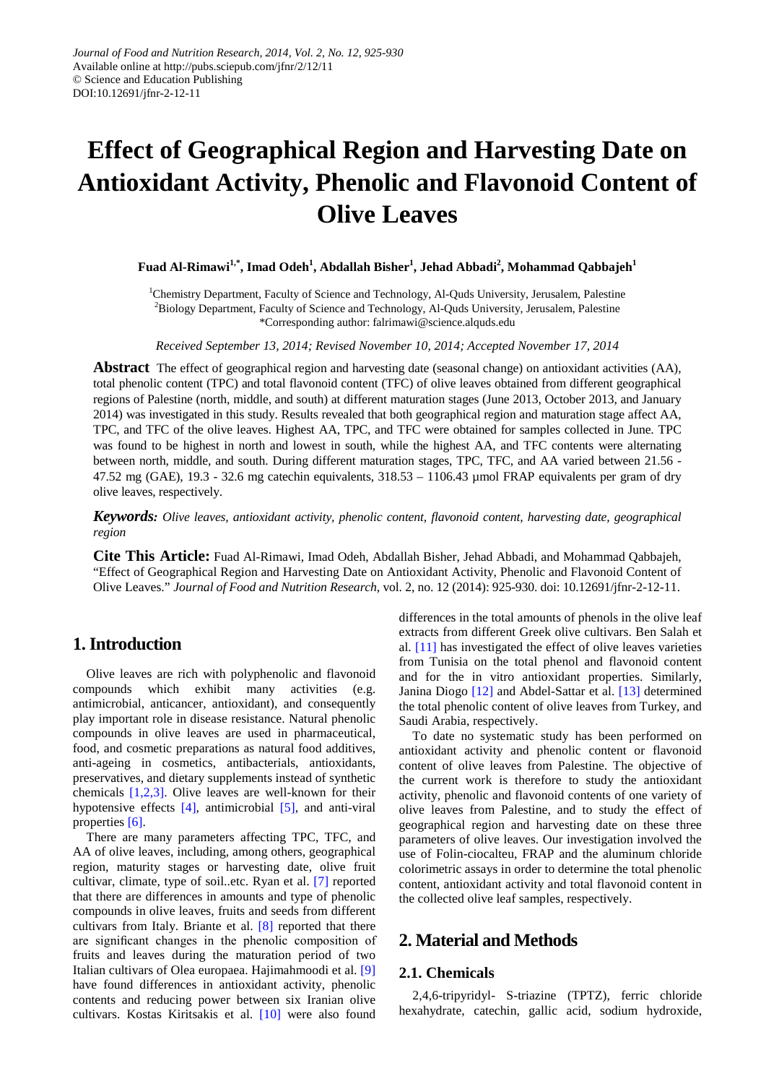# **Effect of Geographical Region and Harvesting Date on Antioxidant Activity, Phenolic and Flavonoid Content of Olive Leaves**

 $\mathbf{F}$ uad Al-Rimawi<sup>1,\*</sup>, Imad Odeh<sup>1</sup>, Abdallah Bisher<sup>1</sup>, Jehad Abbadi<sup>2</sup>, Mohammad Qabbajeh<sup>1</sup>

<sup>1</sup>Chemistry Department, Faculty of Science and Technology, Al-Quds University, Jerusalem, Palestine <sup>2</sup>Biology Department, Faculty of Science and Technology, Al-Quds University, Jerusalem, Palestine \*Corresponding author: falrimawi@science.alquds.edu

*Received September 13, 2014; Revised November 10, 2014; Accepted November 17, 2014*

**Abstract** The effect of geographical region and harvesting date (seasonal change) on antioxidant activities (AA), total phenolic content (TPC) and total flavonoid content (TFC) of olive leaves obtained from different geographical regions of Palestine (north, middle, and south) at different maturation stages (June 2013, October 2013, and January 2014) was investigated in this study. Results revealed that both geographical region and maturation stage affect AA, TPC, and TFC of the olive leaves. Highest AA, TPC, and TFC were obtained for samples collected in June. TPC was found to be highest in north and lowest in south, while the highest AA, and TFC contents were alternating between north, middle, and south. During different maturation stages, TPC, TFC, and AA varied between 21.56 - 47.52 mg (GAE), 19.3 - 32.6 mg catechin equivalents, 318.53 – 1106.43 µmol FRAP equivalents per gram of dry olive leaves, respectively.

*Keywords: Olive leaves, antioxidant activity, phenolic content, flavonoid content, harvesting date, geographical region*

**Cite This Article:** Fuad Al-Rimawi, Imad Odeh, Abdallah Bisher, Jehad Abbadi, and Mohammad Qabbajeh, "Effect of Geographical Region and Harvesting Date on Antioxidant Activity, Phenolic and Flavonoid Content of Olive Leaves." *Journal of Food and Nutrition Research*, vol. 2, no. 12 (2014): 925-930. doi: 10.12691/jfnr-2-12-11.

# **1. Introduction**

Olive leaves are rich with polyphenolic and flavonoid compounds which exhibit many activities (e.g. antimicrobial, anticancer, antioxidant), and consequently play important role in disease resistance. Natural phenolic compounds in olive leaves are used in pharmaceutical, food, and cosmetic preparations as natural food additives, anti-ageing in cosmetics, antibacterials, antioxidants, preservatives, and dietary supplements instead of synthetic chemicals  $[1,2,3]$ . Olive leaves are well-known for their hypotensive effects [\[4\],](#page-5-1) antimicrobial [\[5\],](#page-5-2) and anti-viral properties [\[6\].](#page-5-3)

There are many parameters affecting TPC, TFC, and AA of olive leaves, including, among others, geographical region, maturity stages or harvesting date, olive fruit cultivar, climate, type of soil..etc. Ryan et al. [\[7\]](#page-5-4) reported that there are differences in amounts and type of phenolic compounds in olive leaves, fruits and seeds from different cultivars from Italy. Briante et al. [\[8\]](#page-5-5) reported that there are significant changes in the phenolic composition of fruits and leaves during the maturation period of two Italian cultivars of Olea europaea. Hajimahmoodi et al. [\[9\]](#page-5-6) have found differences in antioxidant activity, phenolic contents and reducing power between six Iranian olive cultivars. Kostas Kiritsakis et al. [\[10\]](#page-5-7) were also found

differences in the total amounts of phenols in the olive leaf extracts from different Greek olive cultivars. Ben Salah et al. [\[11\]](#page-5-8) has investigated the effect of olive leaves varieties from Tunisia on the total phenol and flavonoid content and for the in vitro antioxidant properties. Similarly, Janina Diogo [\[12\]](#page-5-9) and Abdel-Sattar et al. [\[13\]](#page-5-10) determined the total phenolic content of olive leaves from Turkey, and Saudi Arabia, respectively.

To date no systematic study has been performed on antioxidant activity and phenolic content or flavonoid content of olive leaves from Palestine. The objective of the current work is therefore to study the antioxidant activity, phenolic and flavonoid contents of one variety of olive leaves from Palestine, and to study the effect of geographical region and harvesting date on these three parameters of olive leaves. Our investigation involved the use of Folin-ciocalteu, FRAP and the aluminum chloride colorimetric assays in order to determine the total phenolic content, antioxidant activity and total flavonoid content in the collected olive leaf samples, respectively.

# **2. Material and Methods**

#### **2.1. Chemicals**

2,4,6-tripyridyl- S-triazine (TPTZ), ferric chloride hexahydrate, catechin, gallic acid, sodium hydroxide,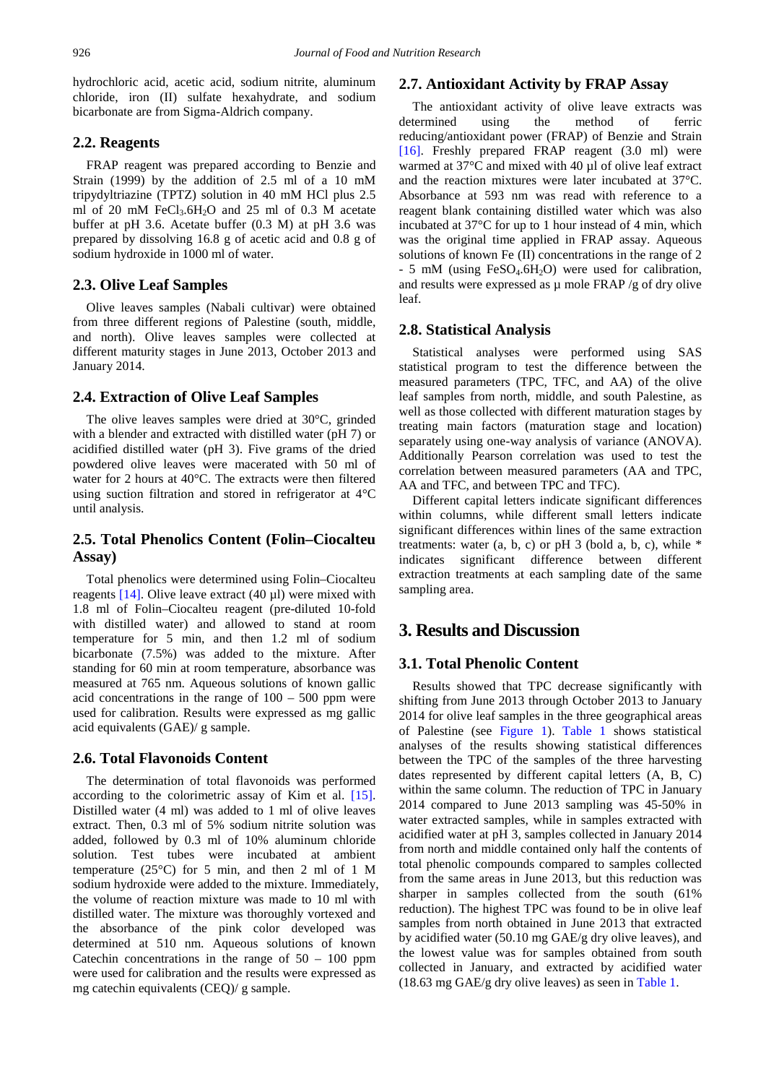hydrochloric acid, acetic acid, sodium nitrite, aluminum chloride, iron (II) sulfate hexahydrate, and sodium bicarbonate are from Sigma-Aldrich company.

#### **2.2. Reagents**

FRAP reagent was prepared according to Benzie and Strain (1999) by the addition of 2.5 ml of a 10 mM tripydyltriazine (TPTZ) solution in 40 mM HCl plus 2.5 ml of 20 mM FeCl<sub>3</sub>.6H<sub>2</sub>O and 25 ml of 0.3 M acetate buffer at pH 3.6. Acetate buffer (0.3 M) at pH 3.6 was prepared by dissolving 16.8 g of acetic acid and 0.8 g of sodium hydroxide in 1000 ml of water.

#### **2.3. Olive Leaf Samples**

Olive leaves samples (Nabali cultivar) were obtained from three different regions of Palestine (south, middle, and north). Olive leaves samples were collected at different maturity stages in June 2013, October 2013 and January 2014.

#### **2.4. Extraction of Olive Leaf Samples**

The olive leaves samples were dried at 30°C, grinded with a blender and extracted with distilled water (pH 7) or acidified distilled water (pH 3). Five grams of the dried powdered olive leaves were macerated with 50 ml of water for 2 hours at 40°C. The extracts were then filtered using suction filtration and stored in refrigerator at 4°C until analysis.

## **2.5. Total Phenolics Content (Folin–Ciocalteu Assay)**

Total phenolics were determined using Folin–Ciocalteu reagents  $[14]$ . Olive leave extract  $(40 \mu l)$  were mixed with 1.8 ml of Folin–Ciocalteu reagent (pre-diluted 10-fold with distilled water) and allowed to stand at room temperature for 5 min, and then 1.2 ml of sodium bicarbonate (7.5%) was added to the mixture. After standing for 60 min at room temperature, absorbance was measured at 765 nm. Aqueous solutions of known gallic acid concentrations in the range of  $100 - 500$  ppm were used for calibration. Results were expressed as mg gallic acid equivalents (GAE)/ g sample.

#### **2.6. Total Flavonoids Content**

The determination of total flavonoids was performed according to the colorimetric assay of Kim et al. [\[15\].](#page-5-12) Distilled water (4 ml) was added to 1 ml of olive leaves extract. Then, 0.3 ml of 5% sodium nitrite solution was added, followed by 0.3 ml of 10% aluminum chloride solution. Test tubes were incubated at ambient temperature (25°C) for 5 min, and then 2 ml of 1 M sodium hydroxide were added to the mixture. Immediately, the volume of reaction mixture was made to 10 ml with distilled water. The mixture was thoroughly vortexed and the absorbance of the pink color developed was determined at 510 nm. Aqueous solutions of known Catechin concentrations in the range of  $50 - 100$  ppm were used for calibration and the results were expressed as mg catechin equivalents (CEQ)/ g sample.

#### **2.7. Antioxidant Activity by FRAP Assay**

The antioxidant activity of olive leave extracts was determined using the method of ferric reducing/antioxidant power (FRAP) of Benzie and Strain [\[16\].](#page-5-13) Freshly prepared FRAP reagent (3.0 ml) were warmed at 37°C and mixed with 40 µl of olive leaf extract and the reaction mixtures were later incubated at 37°C. Absorbance at 593 nm was read with reference to a reagent blank containing distilled water which was also incubated at 37°C for up to 1 hour instead of 4 min, which was the original time applied in FRAP assay. Aqueous solutions of known Fe (II) concentrations in the range of 2 - 5 mM (using FeSO<sub>4</sub>.6H<sub>2</sub>O) were used for calibration, and results were expressed as  $\mu$  mole FRAP /g of dry olive leaf.

#### **2.8. Statistical Analysis**

Statistical analyses were performed using SAS statistical program to test the difference between the measured parameters (TPC, TFC, and AA) of the olive leaf samples from north, middle, and south Palestine, as well as those collected with different maturation stages by treating main factors (maturation stage and location) separately using one-way analysis of variance (ANOVA). Additionally Pearson correlation was used to test the correlation between measured parameters (AA and TPC, AA and TFC, and between TPC and TFC).

Different capital letters indicate significant differences within columns, while different small letters indicate significant differences within lines of the same extraction treatments: water  $(a, b, c)$  or pH 3 (bold  $a, b, c$ ), while  $*$ indicates significant difference between different extraction treatments at each sampling date of the same sampling area.

# **3. Results and Discussion**

## **3.1. Total Phenolic Content**

Results showed that TPC decrease significantly with shifting from June 2013 through October 2013 to January 2014 for olive leaf samples in the three geographical areas of Palestine (see [Figure 1\)](#page-2-0). [Table 1](#page-2-1) shows statistical analyses of the results showing statistical differences between the TPC of the samples of the three harvesting dates represented by different capital letters (A, B, C) within the same column. The reduction of TPC in January 2014 compared to June 2013 sampling was 45-50% in water extracted samples, while in samples extracted with acidified water at pH 3, samples collected in January 2014 from north and middle contained only half the contents of total phenolic compounds compared to samples collected from the same areas in June 2013, but this reduction was sharper in samples collected from the south (61% reduction). The highest TPC was found to be in olive leaf samples from north obtained in June 2013 that extracted by acidified water (50.10 mg GAE/g dry olive leaves), and the lowest value was for samples obtained from south collected in January, and extracted by acidified water (18.63 mg GAE/g dry olive leaves) as seen in [Table 1.](#page-2-1)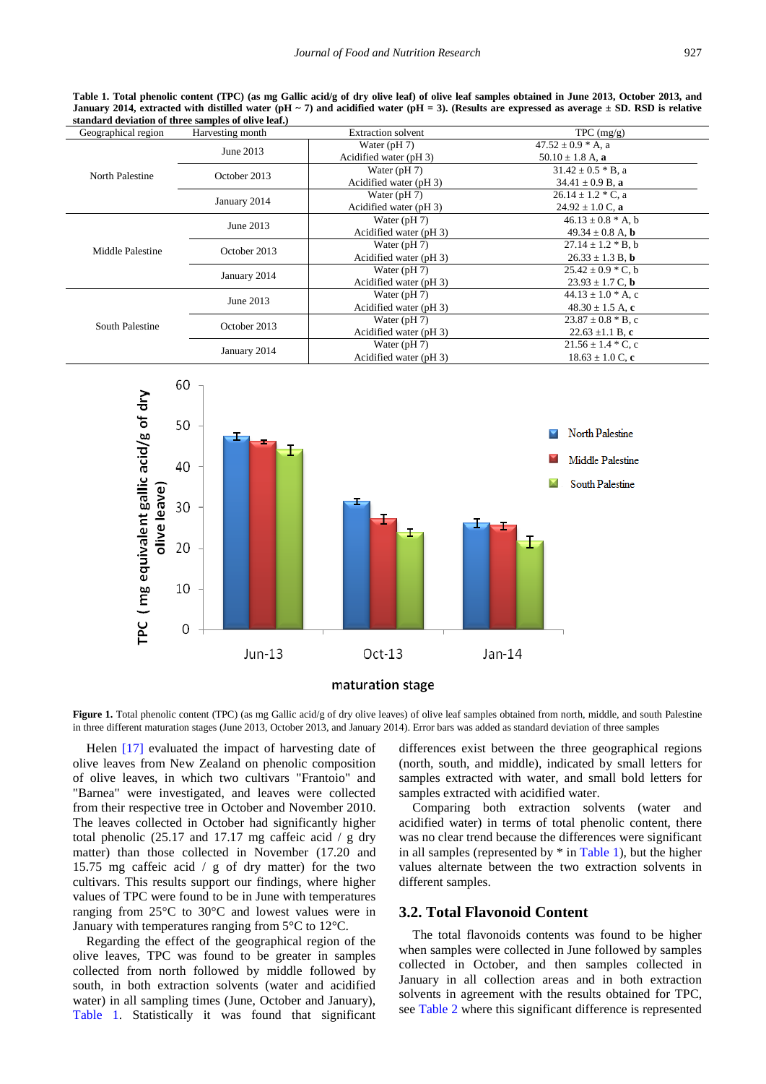**Table 1. Total phenolic content (TPC) (as mg Gallic acid/g of dry olive leaf) of olive leaf samples obtained in June 2013, October 2013, and January 2014, extracted with distilled water (pH ~ 7) and acidified water (pH = 3). (Results are expressed as average ± SD. RSD is relative standard deviation of three samples of olive leaf.)**

<span id="page-2-1"></span>

| Geographical region    | Harvesting month | <b>Extraction solvent</b> | TPC (mg/g)                   |  |
|------------------------|------------------|---------------------------|------------------------------|--|
| North Palestine        | June 2013        | Water $(pH 7)$            | $47.52 \pm 0.9$ * A, a       |  |
|                        |                  | Acidified water (pH 3)    | 50.10 $\pm$ 1.8 A, a         |  |
|                        | October 2013     | Water $(pH 7)$            | $31.42 \pm 0.5 * B$ , a      |  |
|                        |                  | Acidified water (pH 3)    | $34.41 \pm 0.9$ B, a         |  |
|                        | January 2014     | Water $(pH 7)$            | $26.14 \pm 1.2$ * C, a       |  |
|                        |                  | Acidified water (pH 3)    | $24.92 \pm 1.0$ C, a         |  |
| Middle Palestine       | June 2013        | Water $(pH 7)$            | $46.13 \pm 0.8$ * A, b       |  |
|                        |                  | Acidified water (pH 3)    | 49.34 $\pm$ 0.8 A, <b>b</b>  |  |
|                        | October 2013     | Water $(pH 7)$            | $27.14 \pm 1.2 * B$ , b      |  |
|                        |                  | Acidified water (pH 3)    | $26.33 \pm 1.3$ B, b         |  |
|                        | January 2014     | Water $(pH 7)$            | $25.42 \pm 0.9 \times C, b$  |  |
|                        |                  | Acidified water (pH 3)    | $23.93 \pm 1.7$ C, b         |  |
| <b>South Palestine</b> | June 2013        | Water $(pH 7)$            | $44.13 \pm 1.0$ * A, c       |  |
|                        |                  | Acidified water (pH 3)    | $48.30 \pm 1.5$ A, c         |  |
|                        | October 2013     | Water $(pH 7)$            | $23.87 \pm 0.8$ * B, c       |  |
|                        |                  | Acidified water (pH 3)    | 22.63 $\pm$ 1.1 B, c         |  |
|                        | January 2014     | Water $(pH 7)$            | $21.56 \pm 1.4 \times C$ , c |  |
|                        |                  | Acidified water (pH 3)    | $18.63 \pm 1.0$ C, c         |  |

<span id="page-2-0"></span>

Figure 1. Total phenolic content (TPC) (as mg Gallic acid/g of dry olive leaves) of olive leaf samples obtained from north, middle, and south Palestine in three different maturation stages (June 2013, October 2013, and January 2014). Error bars was added as standard deviation of three samples

Helen [\[17\]](#page-5-14) evaluated the impact of harvesting date of olive leaves from New Zealand on phenolic composition of olive leaves, in which two cultivars "Frantoio" and "Barnea" were investigated, and leaves were collected from their respective tree in October and November 2010. The leaves collected in October had significantly higher total phenolic  $(25.17 \text{ and } 17.17 \text{ mg } \text{caff}$ eic acid / g dry matter) than those collected in November (17.20 and 15.75 mg caffeic acid / g of dry matter) for the two cultivars. This results support our findings, where higher values of TPC were found to be in June with temperatures ranging from 25°C to 30°C and lowest values were in January with temperatures ranging from 5°C to 12°C.

Regarding the effect of the geographical region of the olive leaves, TPC was found to be greater in samples collected from north followed by middle followed by south, in both extraction solvents (water and acidified water) in all sampling times (June, October and January), [Table 1.](#page-2-1) Statistically it was found that significant differences exist between the three geographical regions (north, south, and middle), indicated by small letters for samples extracted with water, and small bold letters for samples extracted with acidified water.

Comparing both extraction solvents (water and acidified water) in terms of total phenolic content, there was no clear trend because the differences were significant in all samples (represented by  $*$  in [Table 1\)](#page-2-1), but the higher values alternate between the two extraction solvents in different samples.

#### **3.2. Total Flavonoid Content**

The total flavonoids contents was found to be higher when samples were collected in June followed by samples collected in October, and then samples collected in January in all collection areas and in both extraction solvents in agreement with the results obtained for TPC, see [Table 2](#page-3-0) where this significant difference is represented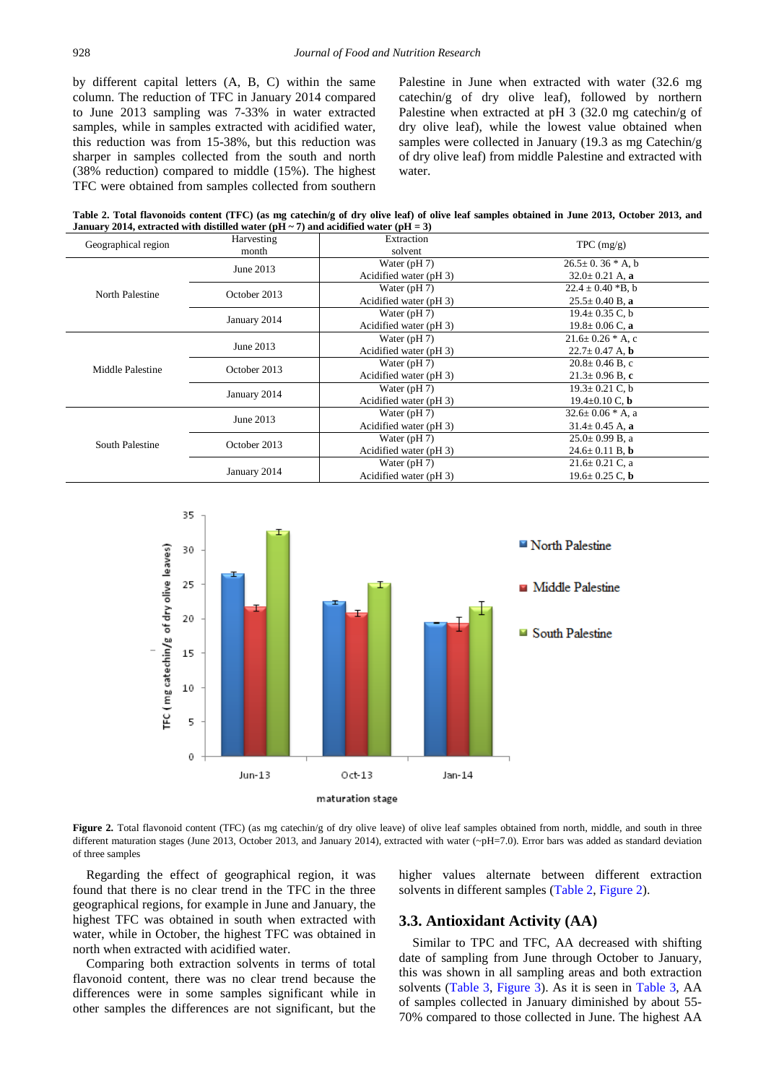by different capital letters (A, B, C) within the same column. The reduction of TFC in January 2014 compared to June 2013 sampling was 7-33% in water extracted samples, while in samples extracted with acidified water, this reduction was from 15-38%, but this reduction was sharper in samples collected from the south and north (38% reduction) compared to middle (15%). The highest TFC were obtained from samples collected from southern

Palestine in June when extracted with water (32.6 mg catechin/g of dry olive leaf), followed by northern Palestine when extracted at pH 3 (32.0 mg catechin/g of dry olive leaf), while the lowest value obtained when samples were collected in January (19.3 as mg Catechin/g of dry olive leaf) from middle Palestine and extracted with water.

**Table 2. Total flavonoids content (TFC) (as mg catechin/g of dry olive leaf) of olive leaf samples obtained in June 2013, October 2013, and January 2014, extracted with distilled water (pH ~ 7) and acidified water (pH = 3)**

<span id="page-3-0"></span>

| Harvesting   | Extraction                                                                             | $TPC$ (mg/g)           |  |
|--------------|----------------------------------------------------------------------------------------|------------------------|--|
| month        | solvent                                                                                |                        |  |
|              | Water $(pH 7)$                                                                         | $26.5 \pm 0.36$ * A, b |  |
|              | Acidified water (pH 3)                                                                 | $32.0 \pm 0.21$ A, a   |  |
|              | Water $(pH 7)$                                                                         | $22.4 \pm 0.40$ *B, b  |  |
|              | Acidified water (pH 3)                                                                 | $25.5 \pm 0.40$ B, a   |  |
| January 2014 | Water $(pH 7)$                                                                         | $19.4 \pm 0.35$ C, b   |  |
|              | Acidified water (pH 3)                                                                 | $19.8 \pm 0.06$ C, a   |  |
| June 2013    | Water $(pH 7)$                                                                         | $21.6 \pm 0.26$ * A, c |  |
|              | Acidified water (pH 3)                                                                 | $22.7 \pm 0.47$ A, b   |  |
|              | Water $(pH 7)$                                                                         | $20.8 \pm 0.46$ B, c   |  |
|              | Acidified water (pH 3)                                                                 | $21.3 \pm 0.96$ B, c   |  |
| January 2014 | Water $(pH 7)$                                                                         | $19.3 \pm 0.21$ C, b   |  |
|              | Acidified water (pH 3)                                                                 | $19.4 \pm 0.10$ C, b   |  |
|              | Water $(pH 7)$                                                                         | $32.6 \pm 0.06$ * A, a |  |
|              | Acidified water (pH 3)                                                                 | $31.4 \pm 0.45$ A, a   |  |
|              | Water $(pH 7)$                                                                         | $25.0 \pm 0.99$ B, a   |  |
|              | Acidified water (pH 3)                                                                 | $24.6 \pm 0.11$ B, b   |  |
|              | Water $(pH 7)$                                                                         | $21.6 \pm 0.21$ C, a   |  |
|              | Acidified water (pH 3)                                                                 | $19.6 \pm 0.25$ C, b   |  |
|              | June 2013<br>October 2013<br>October 2013<br>June 2013<br>October 2013<br>January 2014 |                        |  |

<span id="page-3-1"></span>

Figure 2. Total flavonoid content (TFC) (as mg catechin/g of dry olive leave) of olive leaf samples obtained from north, middle, and south in three different maturation stages (June 2013, October 2013, and January 2014), extracted with water (~pH=7.0). Error bars was added as standard deviation of three samples

Regarding the effect of geographical region, it was found that there is no clear trend in the TFC in the three geographical regions, for example in June and January, the highest TFC was obtained in south when extracted with water, while in October, the highest TFC was obtained in north when extracted with acidified water.

Comparing both extraction solvents in terms of total flavonoid content, there was no clear trend because the differences were in some samples significant while in other samples the differences are not significant, but the higher values alternate between different extraction solvents in different samples [\(Table 2,](#page-3-0) [Figure 2\)](#page-3-1).

#### **3.3. Antioxidant Activity (AA)**

Similar to TPC and TFC, AA decreased with shifting date of sampling from June through October to January, this was shown in all sampling areas and both extraction solvents [\(Table 3,](#page-4-0) [Figure 3\)](#page-4-1). As it is seen in [Table 3,](#page-4-0) AA of samples collected in January diminished by about 55- 70% compared to those collected in June. The highest AA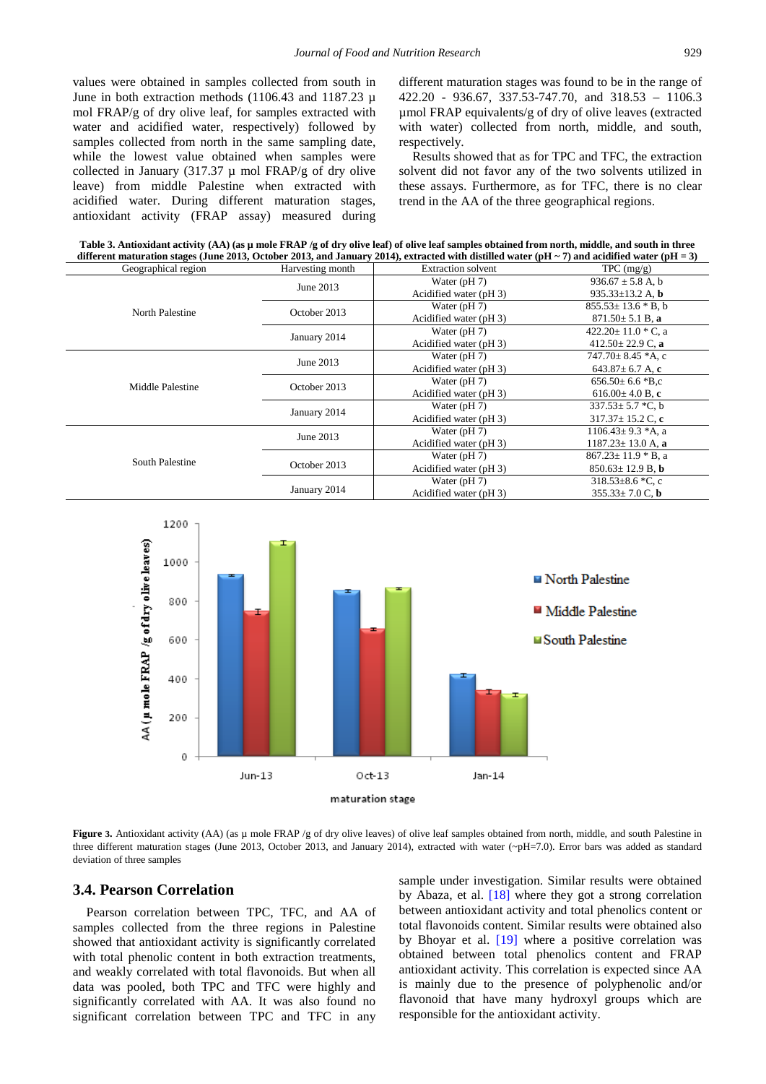values were obtained in samples collected from south in June in both extraction methods (1106.43 and 1187.23 µ mol FRAP/g of dry olive leaf, for samples extracted with water and acidified water, respectively) followed by samples collected from north in the same sampling date, while the lowest value obtained when samples were collected in January (317.37  $\mu$  mol FRAP/g of dry olive leave) from middle Palestine when extracted with acidified water. During different maturation stages, antioxidant activity (FRAP assay) measured during different maturation stages was found to be in the range of 422.20 - 936.67, 337.53-747.70, and 318.53 – 1106.3 µmol FRAP equivalents/g of dry of olive leaves (extracted with water) collected from north, middle, and south, respectively.

Results showed that as for TPC and TFC, the extraction solvent did not favor any of the two solvents utilized in these assays. Furthermore, as for TFC, there is no clear trend in the AA of the three geographical regions.

**Table 3. Antioxidant activity (AA) (as µ mole FRAP /g of dry olive leaf) of olive leaf samples obtained from north, middle, and south in three different maturation stages (June 2013, October 2013, and January 2014), extracted with distilled water (pH ~ 7) and acidified water (pH = 3)**

<span id="page-4-0"></span>

| Geographical region | Harvesting month | <b>Extraction solvent</b> | TPC (mg/g)                     |
|---------------------|------------------|---------------------------|--------------------------------|
|                     | June 2013        | Water $(pH 7)$            | $936.67 \pm 5.8$ A, b          |
|                     |                  | Acidified water (pH 3)    | 935.33 $\pm$ 13.2 A, b         |
| North Palestine     | October 2013     | Water $(pH 7)$            | $855.53 \pm 13.6 * B$ , b      |
|                     |                  | Acidified water (pH 3)    | $871.50 \pm 5.1 B$ , a         |
|                     | January 2014     | Water $(pH 7)$            | 422.20 $\pm$ 11.0 $\ast$ C, a  |
|                     |                  | Acidified water (pH 3)    | 412.50 $\pm$ 22.9 C, a         |
|                     | June 2013        | Water $(pH 7)$            | $747.70 \pm 8.45$ *A, c        |
|                     |                  | Acidified water (pH 3)    | 643.87 $\pm$ 6.7 A, c          |
| Middle Palestine    | October 2013     | Water $(pH 7)$            | $656.50 \pm 6.6$ *B,c          |
|                     |                  | Acidified water (pH 3)    | $616.00 \pm 4.0 B$ , c         |
|                     | January 2014     | Water $(pH 7)$            | $337.53 \pm 5.7$ *C, b         |
|                     |                  | Acidified water (pH 3)    | $317.37 \pm 15.2$ C, c         |
|                     | June 2013        | Water $(pH 7)$            | $1106.43 \pm 9.3$ *A, a        |
|                     |                  | Acidified water (pH 3)    | $1187.23 \pm 13.0$ A, a        |
| South Palestine     | October 2013     | Water $(pH 7)$            | $867.23 \pm 11.9 * B$ , a      |
|                     |                  | Acidified water (pH 3)    | $850.63 \pm 12.9 B$ , <b>b</b> |
|                     | January 2014     | Water $(pH 7)$            | $318.53 \pm 8.6$ *C, c         |
|                     |                  | Acidified water (pH 3)    | $355.33 \pm 7.0$ C, b          |

<span id="page-4-1"></span>

**Figure 3.** Antioxidant activity (AA) (as µ mole FRAP /g of dry olive leaves) of olive leaf samples obtained from north, middle, and south Palestine in three different maturation stages (June 2013, October 2013, and January 2014), extracted with water (~pH=7.0). Error bars was added as standard deviation of three samples

#### **3.4. Pearson Correlation**

Pearson correlation between TPC, TFC, and AA of samples collected from the three regions in Palestine showed that antioxidant activity is significantly correlated with total phenolic content in both extraction treatments, and weakly correlated with total flavonoids. But when all data was pooled, both TPC and TFC were highly and significantly correlated with AA. It was also found no significant correlation between TPC and TFC in any sample under investigation. Similar results were obtained by Abaza, et al. [\[18\]](#page-5-15) where they got a strong correlation between antioxidant activity and total phenolics content or total flavonoids content. Similar results were obtained also by Bhoyar et al. [\[19\]](#page-5-16) where a positive correlation was obtained between total phenolics content and FRAP antioxidant activity. This correlation is expected since AA is mainly due to the presence of polyphenolic and/or flavonoid that have many hydroxyl groups which are responsible for the antioxidant activity.